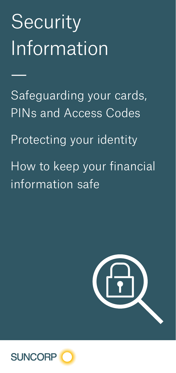# **Security** Information

—

Safeguarding your cards, PINs and Access Codes Protecting your identity

How to keep your financial information safe



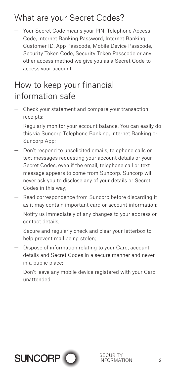## What are your Secret Codes?

— Your Secret Code means your PIN, Telephone Access Code, Internet Banking Password, Internet Banking Customer ID, App Passcode, Mobile Device Passcode, Security Token Code, Security Token Passcode or any other access method we give you as a Secret Code to access your account.

#### How to keep your financial information safe

- Check your statement and compare your transaction receipts;
- Regularly monitor your account balance. You can easily do this via Suncorp Telephone Banking, Internet Banking or Suncorp App;
- Don't respond to unsolicited emails, telephone calls or text messages requesting your account details or your Secret Codes, even if the email, telephone call or text message appears to come from Suncorp. Suncorp will never ask you to disclose any of your details or Secret Codes in this way;
- Read correspondence from Suncorp before discarding it as it may contain important card or account information;
- Notify us immediately of any changes to your address or contact details;
- Secure and regularly check and clear your letterbox to help prevent mail being stolen;
- Dispose of information relating to your Card, account details and Secret Codes in a secure manner and never in a public place;
- Don't leave any mobile device registered with your Card unattended.

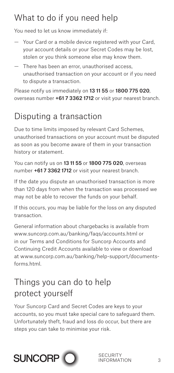## What to do if you need help

You need to let us know immediately if:

- Your Card or a mobile device registered with your Card, your account details or your Secret Codes may be lost, stolen or you think someone else may know them.
- There has been an error, unauthorised access, unauthorised transaction on your account or if you need to dispute a transaction.

Please notify us immediately on 13 11 55 or 1800 775 020, overseas number +61 7 3362 1712 or visit your nearest branch.

## Disputing a transaction

Due to time limits imposed by relevant Card Schemes, unauthorised transactions on your account must be disputed as soon as you become aware of them in your transaction history or statement.

You can notify us on 13 11 55 or 1800 775 020, overseas number +61 7 3362 1712 or visit your nearest branch.

If the date you dispute an unauthorised transaction is more than 120 days from when the transaction was processed we may not be able to recover the funds on your behalf.

If this occurs, you may be liable for the loss on any disputed transaction.

General information about chargebacks is available from www.suncorp.com.au/banking/faqs/accounts.html or in our Terms and Conditions for Suncorp Accounts and Continuing Credit Accounts available to view or download at www.suncorp.com.au/banking/help-support/documentsforms.html.

### Things you can do to help protect yourself

Your Suncorp Card and Secret Codes are keys to your accounts, so you must take special care to safeguard them. Unfortunately theft, fraud and loss do occur, but there are steps you can take to minimise your risk.

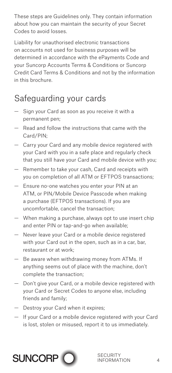These steps are Guidelines only. They contain information about how you can maintain the security of your Secret Codes to avoid losses.

Liability for unauthorised electronic transactions on accounts not used for business purposes will be determined in accordance with the ePayments Code and your Suncorp Accounts Terms & Conditions or Suncorp Credit Card Terms & Conditions and not by the information in this brochure.

## Safeguarding your cards

- Sign your Card as soon as you receive it with a permanent pen;
- Read and follow the instructions that came with the Card/PIN;
- Carry your Card and any mobile device registered with your Card with you in a safe place and regularly check that you still have your Card and mobile device with you;
- Remember to take your cash, Card and receipts with you on completion of all ATM or EFTPOS transactions;
- Ensure no-one watches you enter your PIN at an ATM, or PIN/Mobile Device Passcode when making a purchase (EFTPOS transactions). If you are uncomfortable, cancel the transaction;
- When making a purchase, always opt to use insert chip and enter PIN or tap-and-go when available;
- Never leave your Card or a mobile device registered with your Card out in the open, such as in a car, bar, restaurant or at work;
- Be aware when withdrawing money from ATMs. If anything seems out of place with the machine, don't complete the transaction;
- Don't give your Card, or a mobile device registered with your Card or Secret Codes to anyone else, including friends and family;
- Destroy your Card when it expires;
- If your Card or a mobile device registered with your Card is lost, stolen or misused, report it to us immediately.

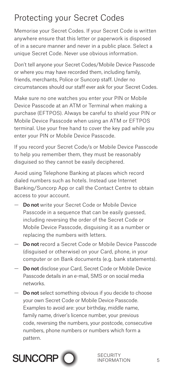## Protecting your Secret Codes

Memorise your Secret Codes. If your Secret Code is written anywhere ensure that this letter or paperwork is disposed of in a secure manner and never in a public place. Select a unique Secret Code. Never use obvious information.

Don't tell anyone your Secret Codes/Mobile Device Passcode or where you may have recorded them, including family, friends, merchants, Police or Suncorp staff. Under no circumstances should our staff ever ask for your Secret Codes.

Make sure no one watches you enter your PIN or Mobile Device Passcode at an ATM or Terminal when making a purchase (EFTPOS). Always be careful to shield your PIN or Mobile Device Passcode when using an ATM or EFTPOS terminal. Use your free hand to cover the key pad while you enter your PIN or Mobile Device Passcode.

If you record your Secret Code/s or Mobile Device Passcode to help you remember them, they must be reasonably disguised so they cannot be easily deciphered.

Avoid using Telephone Banking at places which record dialed numbers such as hotels. Instead use Internet Banking/Suncorp App or call the Contact Centre to obtain access to your account.

- Do not write your Secret Code or Mobile Device Passcode in a sequence that can be easily guessed, including reversing the order of the Secret Code or Mobile Device Passcode, disguising it as a number or replacing the numbers with letters.
- Do not record a Secret Code or Mobile Device Passcode (disguised or otherwise) on your Card, phone, in your computer or on Bank documents (e.g. bank statements).
- Do not disclose your Card, Secret Code or Mobile Device Passcode details in an e-mail, SMS or on social media networks.
- Do not select something obvious if you decide to choose your own Secret Code or Mobile Device Passcode. Examples to avoid are: your birthday, middle name, family name, driver's licence number, your previous code, reversing the numbers, your postcode, consecutive numbers, phone numbers or numbers which form a pattern.

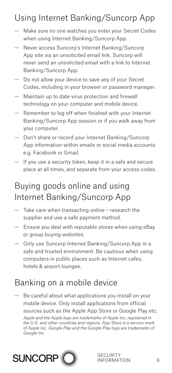## Using Internet Banking/Suncorp App

- Make sure no one watches you enter your Secret Codes when using Internet Banking/Suncorp App.
- Never access Suncorp's Internet Banking/Suncorp App site via an unsolicited email link. Suncorp will never send an unsolicited email with a link to Internet Banking/Suncorp App.
- Do not allow your device to save any of your Secret Codes, including in your browser or password manager.
- Maintain up to date virus protection and firewall technology on your computer and mobile device.
- Remember to log off when finished with your Internet Banking/Suncorp App session or if you walk away from your computer.
- Don't share or record your Internet Banking/Suncorp App information within emails or social media accounts e.g. Facebook or Gmail.
- If you use a security token, keep it in a safe and secure place at all times, and separate from your access codes.

#### Buying goods online and using Internet Banking/Suncorp App

- Take care when transacting online research the supplier and use a safe payment method.
- Ensure you deal with reputable stores when using eBay or group buying websites.
- Only use Suncorp Internet Banking/Suncorp App in a safe and trusted environment. Be cautious when using computers in public places such as Internet cafes, hotels & airport lounges.

#### Banking on a mobile device

Be careful about what applications you install on your mobile device. Only install applications from official sources such as the Apple App Store or Google Play etc.

*Apple and the Apple logo are trademarks of Apple Inc, registered in the U.S. and other countries and regions. App Store is a service mark of Apple Inc. Google Play and the Google Play logo are trademarks of Google Inc*

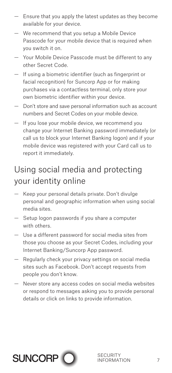- Ensure that you apply the latest updates as they become available for your device.
- We recommend that you setup a Mobile Device Passcode for your mobile device that is required when you switch it on.
- Your Mobile Device Passcode must be different to any other Secret Code.
- If using a biometric identifier (such as fingerprint or facial recognition) for Suncorp App or for making purchases via a contactless terminal, only store your own biometric identifier within your device.
- Don't store and save personal information such as account numbers and Secret Codes on your mobile device.
- If you lose your mobile device, we recommend you change your Internet Banking password immediately (or call us to block your Internet Banking logon) and if your mobile device was registered with your Card call us to report it immediately.

#### Using social media and protecting your identity online

- Keep your personal details private. Don't divulge personal and geographic information when using social media sites.
- Setup logon passwords if you share a computer with others.
- Use a different password for social media sites from those you choose as your Secret Codes, including your Internet Banking/Suncorp App password.
- Regularly check your privacy settings on social media sites such as Facebook. Don't accept requests from people you don't know.
- Never store any access codes on social media websites or respond to messages asking you to provide personal details or click on links to provide information.